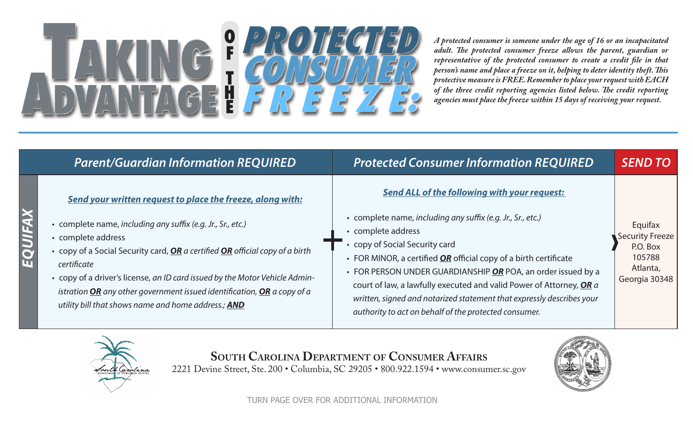## **Taking Advantage PROTECTED CONSUMER F R E E Z E: o f t h e**

*A protected consumer is someone under the age of 16 or an incapacitated adult. The protected consumer freeze allows the parent, guardian or representative of the protected consumer to create a credit file in that person's name and place a freeze on it, helping to deter identity theft. This protective measure is FREE. Remember to place your request with EACH of the three credit reporting agencies listed below. The credit reporting agencies must place the freeze within 15 days of receiving your request.* 

|           | <b>Parent/Guardian Information REQUIRED</b>                                                                                                                                                                                                                                                                                                                                                                                                                                       | <b>Protected Consumer Information REQUIRED</b>                                                                                                                                                                                                                                                                                                                                                                                                                                                                            | <b>SEND TO</b>                                                                       |
|-----------|-----------------------------------------------------------------------------------------------------------------------------------------------------------------------------------------------------------------------------------------------------------------------------------------------------------------------------------------------------------------------------------------------------------------------------------------------------------------------------------|---------------------------------------------------------------------------------------------------------------------------------------------------------------------------------------------------------------------------------------------------------------------------------------------------------------------------------------------------------------------------------------------------------------------------------------------------------------------------------------------------------------------------|--------------------------------------------------------------------------------------|
| $\bullet$ | Send your written request to place the freeze, along with:<br>• complete name, including any suffix (e.g. Jr., Sr., etc.)<br>• complete address<br>• copy of a Social Security card, <b>OR</b> a certified <b>OR</b> official copy of a birth<br>certificate<br>• copy of a driver's license, an ID card issued by the Motor Vehicle Admin-<br>istration $OR$ any other government issued identification, $OR$ a copy of a<br>utility bill that shows name and home address.; AND | <b>Send ALL of the following with your request:</b><br>• complete name, including any suffix (e.g. Jr., Sr., etc.)<br>• complete address<br>• copy of Social Security card<br>• FOR MINOR, a certified $OR$ official copy of a birth certificate<br>• FOR PERSON UNDER GUARDIANSHIP OR POA, an order issued by a<br>court of law, a lawfully executed and valid Power of Attorney, OR a<br>written, signed and notarized statement that expressly describes your<br>authority to act on behalf of the protected consumer. | Equifax<br><b>Security Freeze</b><br>P.O. Box<br>105788<br>Atlanta,<br>Georgia 30348 |



**South Carolina Department of Consumer Affairs**

2221 Devine Street, Ste. 200 • Columbia, SC 29205 • 800.922.1594 • www.consumer.sc.gov



TURN PAGE OVER FOR ADDITIONAL INFORMATION